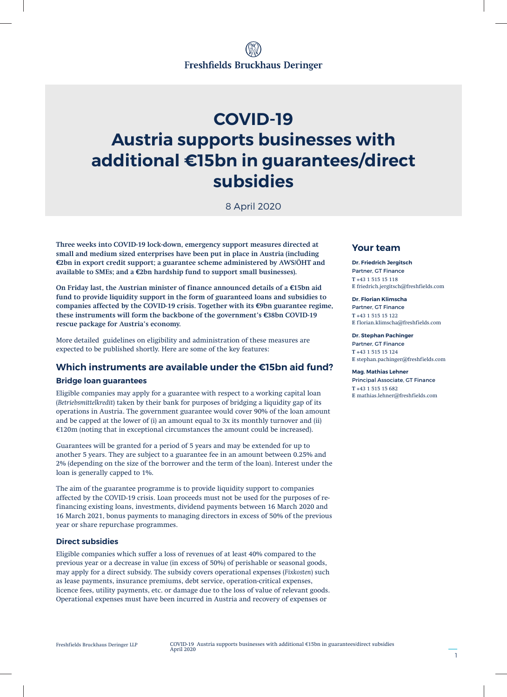# **COVID-19 Austria supports businesses with additional €15bn in guarantees/direct subsidies**

8 April 2020

**Three weeks into COVID-19 lock-down, emergency support measures directed at small and medium sized enterprises have been put in place in Austria (including €2bn in export credit support; a guarantee scheme administered by AWS/ÖHT and available to SMEs; and a €2bn hardship fund to support small businesses).**

**On Friday last, the Austrian minister of finance announced details of a €15bn aid fund to provide liquidity support in the form of guaranteed loans and subsidies to companies affected by the COVID-19 crisis. Together with its €9bn guarantee regime, these instruments will form the backbone of the government's €38bn COVID-19 rescue package for Austria's economy.**

More detailed guidelines on eligibility and administration of these measures are expected to be published shortly. Here are some of the key features:

## **Which instruments are available under the €15bn aid fund?**

### **Bridge loan guarantees**

Eligible companies may apply for a guarantee with respect to a working capital loan (*Betriebsmittelkredit*) taken by their bank for purposes of bridging a liquidity gap of its operations in Austria. The government guarantee would cover 90% of the loan amount and be capped at the lower of (i) an amount equal to 3x its monthly turnover and (ii) €120m (noting that in exceptional circumstances the amount could be increased).

Guarantees will be granted for a period of 5 years and may be extended for up to another 5 years. They are subject to a guarantee fee in an amount between 0.25% and 2% (depending on the size of the borrower and the term of the loan). Interest under the loan is generally capped to 1%.

The aim of the guarantee programme is to provide liquidity support to companies affected by the COVID-19 crisis. Loan proceeds must not be used for the purposes of refinancing existing loans, investments, dividend payments between 16 March 2020 and 16 March 2021, bonus payments to managing directors in excess of 50% of the previous year or share repurchase programmes.

## **Direct subsidies**

Eligible companies which suffer a loss of revenues of at least 40% compared to the previous year or a decrease in value (in excess of 50%) of perishable or seasonal goods, may apply for a direct subsidy. The subsidy covers operational expenses (*Fixkosten*) such as lease payments, insurance premiums, debt service, operation-critical expenses, licence fees, utility payments, etc. or damage due to the loss of value of relevant goods. Operational expenses must have been incurred in Austria and recovery of expenses or

## **Your team**

**Dr. Friedrich Jergitsch** Partner, GT Finance **T** +43 1 515 15 118 **E** friedrich.jergitsch@freshfields.com

**Dr. Florian Klimscha** Partner, GT Finance **T** +43 1 515 15 122 **E** florian.klimscha@freshfields.com

**Dr. Stephan Pachinger** Partner, GT Finance **T** +43 1 515 15 124 **E** stephan.pachinger@freshfields.com

**Mag. Mathias Lehner** Principal Associate, GT Finance **T** +43 1 515 15 682 **E** mathias.lehner@freshfields.com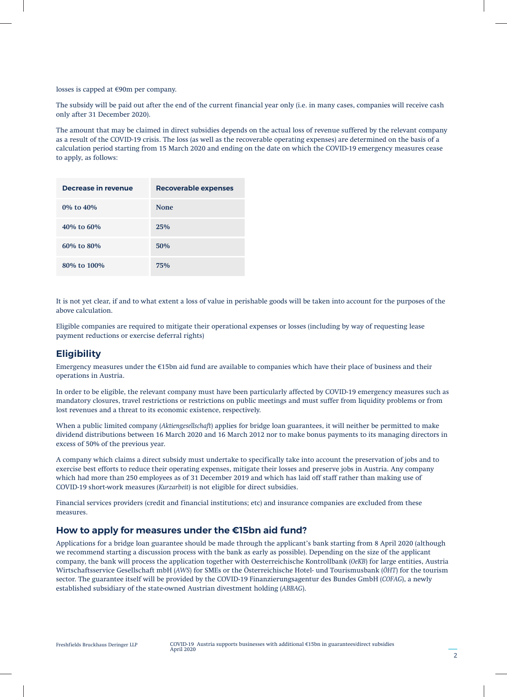losses is capped at €90m per company.

The subsidy will be paid out after the end of the current financial year only (i.e. in many cases, companies will receive cash only after 31 December 2020).

The amount that may be claimed in direct subsidies depends on the actual loss of revenue suffered by the relevant company as a result of the COVID-19 crisis. The loss (as well as the recoverable operating expenses) are determined on the basis of a calculation period starting from 15 March 2020 and ending on the date on which the COVID-19 emergency measures cease to apply, as follows:

| Decrease in revenue | <b>Recoverable expenses</b> |
|---------------------|-----------------------------|
| 0% to 40%           | <b>None</b>                 |
| $40\%$ to 60\%      | 25%                         |
| 60% to 80%          | 50%                         |
| 80% to 100%         | 75%                         |

It is not yet clear, if and to what extent a loss of value in perishable goods will be taken into account for the purposes of the above calculation.

Eligible companies are required to mitigate their operational expenses or losses (including by way of requesting lease payment reductions or exercise deferral rights)

# **Eligibility**

Emergency measures under the €15bn aid fund are available to companies which have their place of business and their operations in Austria.

In order to be eligible, the relevant company must have been particularly affected by COVID-19 emergency measures such as mandatory closures, travel restrictions or restrictions on public meetings and must suffer from liquidity problems or from lost revenues and a threat to its economic existence, respectively.

When a public limited company (*Aktiengesellschaft*) applies for bridge loan guarantees, it will neither be permitted to make dividend distributions between 16 March 2020 and 16 March 2012 nor to make bonus payments to its managing directors in excess of 50% of the previous year.

A company which claims a direct subsidy must undertake to specifically take into account the preservation of jobs and to exercise best efforts to reduce their operating expenses, mitigate their losses and preserve jobs in Austria. Any company which had more than 250 employees as of 31 December 2019 and which has laid off staff rather than making use of COVID-19 short-work measures (*Kurzarbeit*) is not eligible for direct subsidies.

Financial services providers (credit and financial institutions; etc) and insurance companies are excluded from these measures.

## **How to apply for measures under the €15bn aid fund?**

Applications for a bridge loan guarantee should be made through the applicant's bank starting from 8 April 2020 (although we recommend starting a discussion process with the bank as early as possible). Depending on the size of the applicant company, the bank will process the application together with Oesterreichische Kontrollbank (*OeKB*) for large entities, Austria Wirtschaftsservice Gesellschaft mbH (*AWS*) for SMEs or the Österreichische Hotel- und Tourismusbank (*ÖHT*) for the tourism sector. The guarantee itself will be provided by the COVID-19 Finanzierungsagentur des Bundes GmbH (*COFAG*), a newly established subsidiary of the state-owned Austrian divestment holding (*ABBAG*).